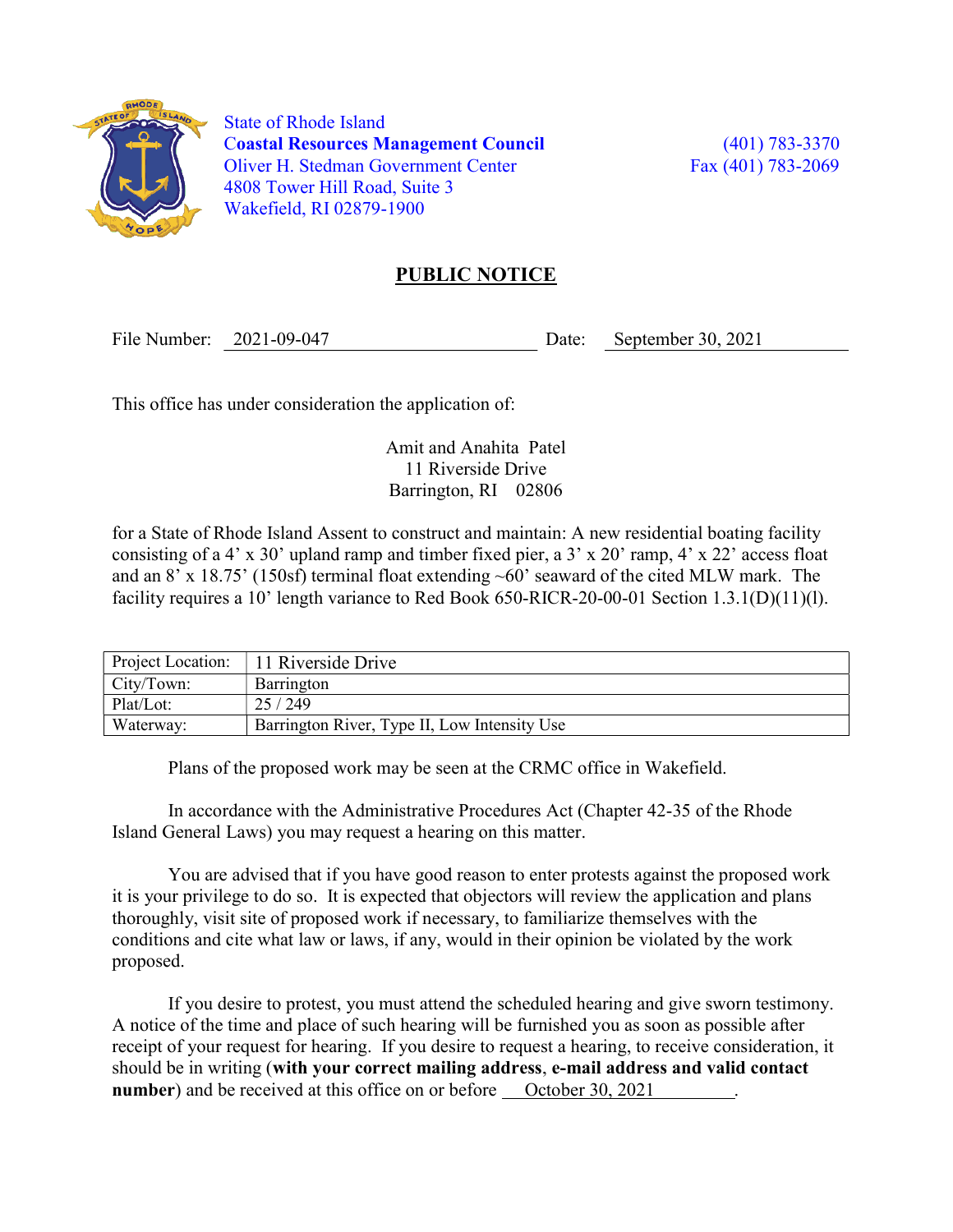

 State of Rhode Island Coastal Resources Management Council (401) 783-3370 Oliver H. Stedman Government Center Fax (401) 783-2069 4808 Tower Hill Road, Suite 3 Wakefield, RI 02879-1900

## PUBLIC NOTICE

File Number: 2021-09-047 Date: September 30, 2021

This office has under consideration the application of:

Amit and Anahita Patel 11 Riverside Drive Barrington, RI 02806

for a State of Rhode Island Assent to construct and maintain: A new residential boating facility consisting of a 4' x 30' upland ramp and timber fixed pier, a  $3' \times 20'$  ramp,  $4' \times 22'$  access float and an 8' x 18.75' (150sf) terminal float extending ~60' seaward of the cited MLW mark. The facility requires a 10' length variance to Red Book 650-RICR-20-00-01 Section 1.3.1(D)(11)(l).

| Project Location: | 11 Riverside Drive                           |
|-------------------|----------------------------------------------|
| City/Town:        | Barrington                                   |
| Plat/Lot:         | 25/249                                       |
| Waterway:         | Barrington River, Type II, Low Intensity Use |

Plans of the proposed work may be seen at the CRMC office in Wakefield.

In accordance with the Administrative Procedures Act (Chapter 42-35 of the Rhode Island General Laws) you may request a hearing on this matter.

You are advised that if you have good reason to enter protests against the proposed work it is your privilege to do so. It is expected that objectors will review the application and plans thoroughly, visit site of proposed work if necessary, to familiarize themselves with the conditions and cite what law or laws, if any, would in their opinion be violated by the work proposed.

If you desire to protest, you must attend the scheduled hearing and give sworn testimony. A notice of the time and place of such hearing will be furnished you as soon as possible after receipt of your request for hearing. If you desire to request a hearing, to receive consideration, it should be in writing (with your correct mailing address, e-mail address and valid contact number) and be received at this office on or before October 30, 2021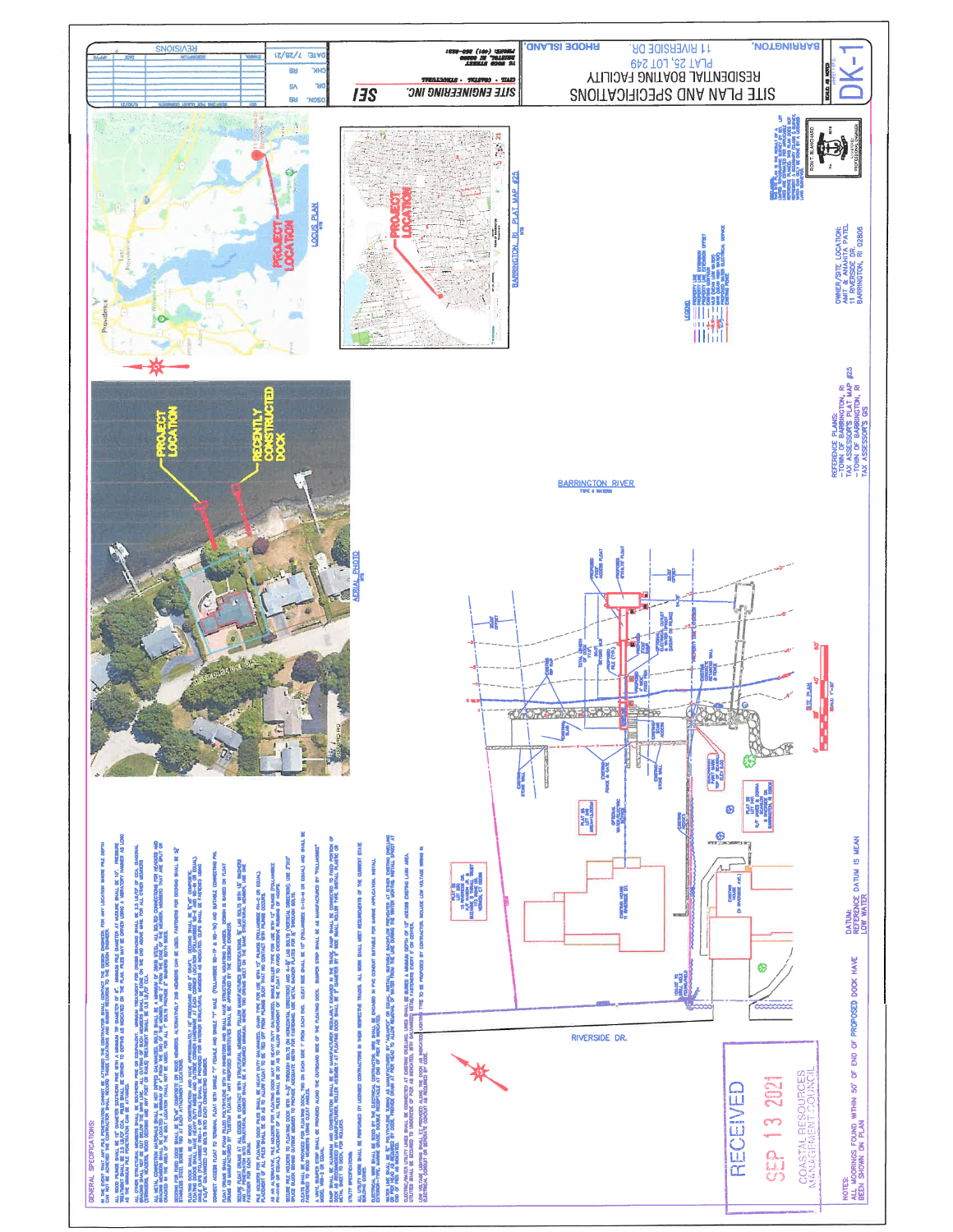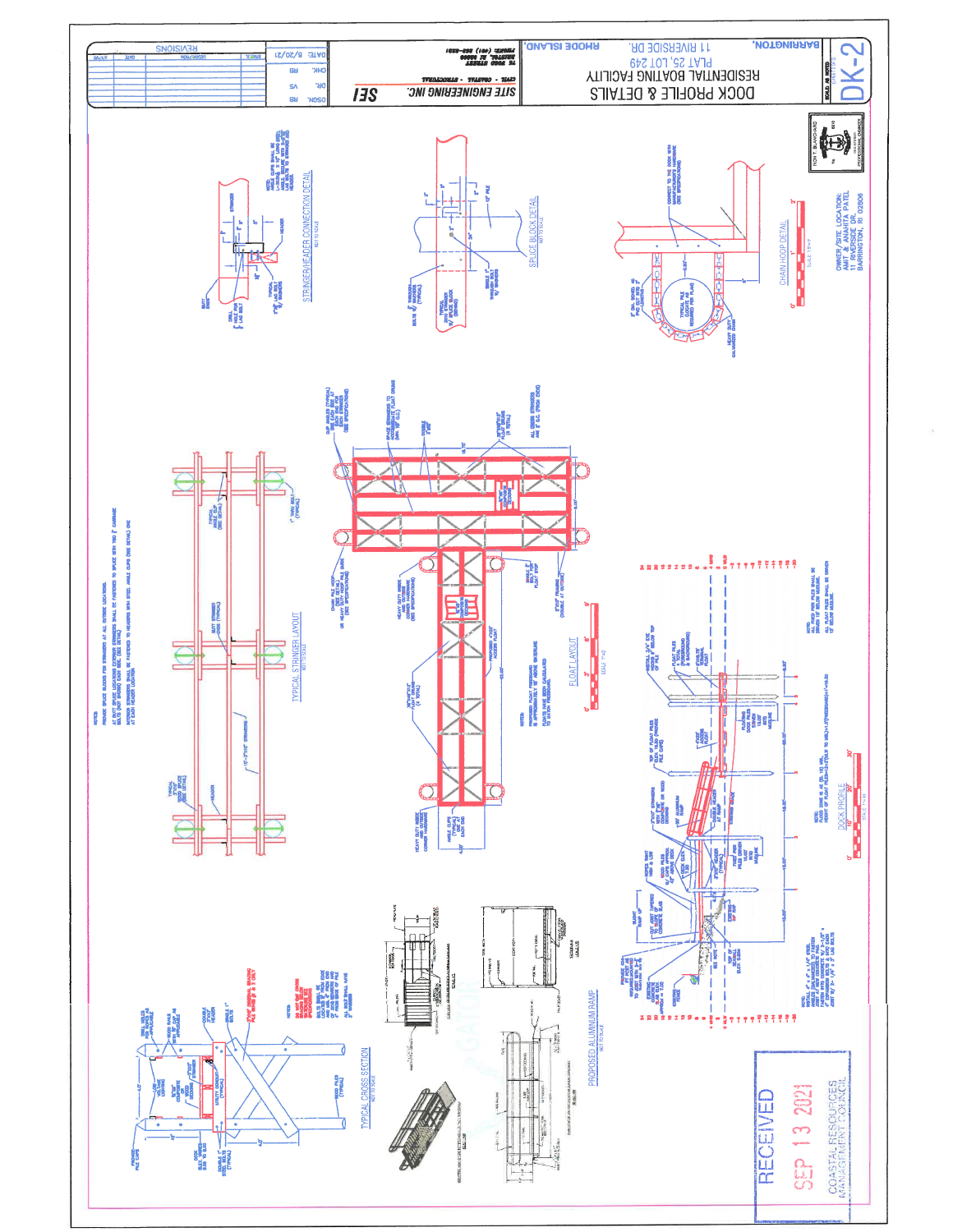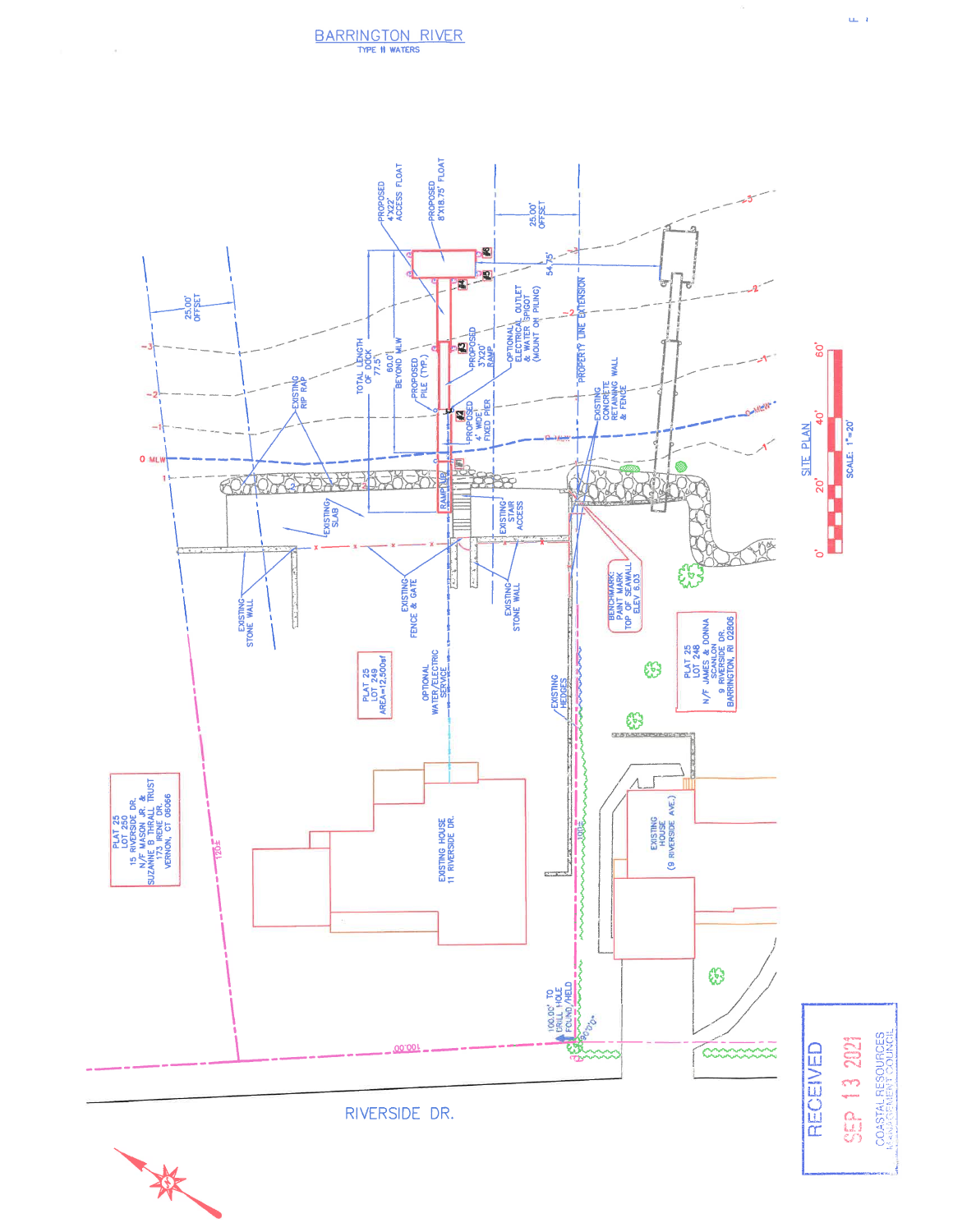

 $\sim$ 

COASTAL RESOURCES SEP 13 2021

 $\mathbf{u}_m = \mathbf{t}$